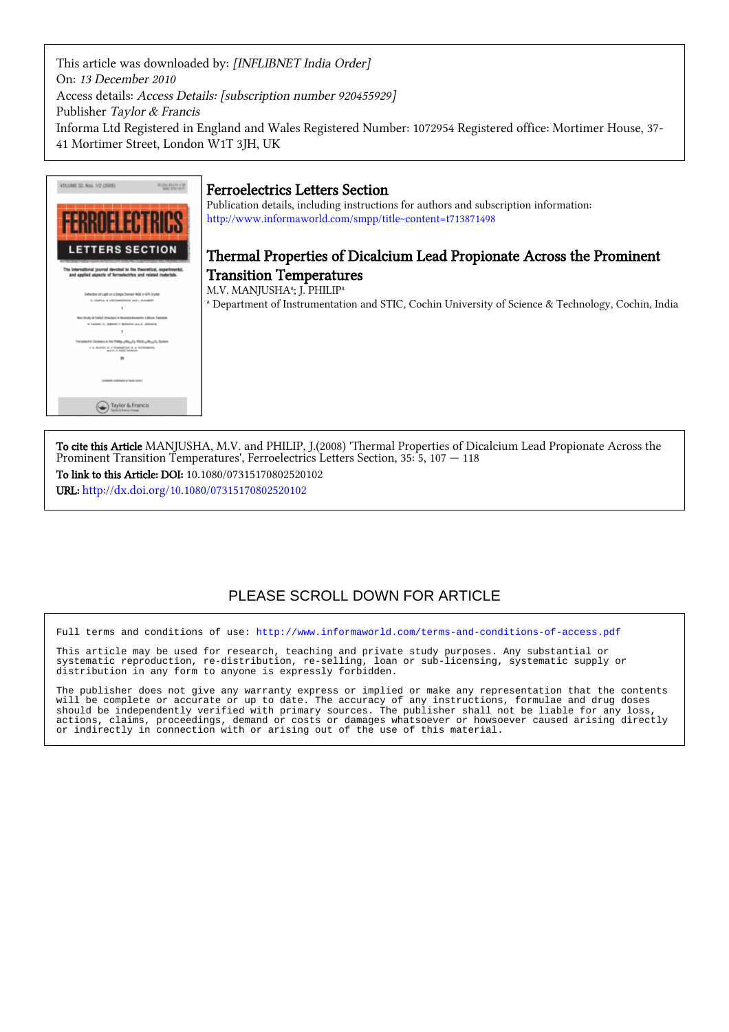This article was downloaded by: [INFLIBNET India Order] On: 13 December 2010 Access details: Access Details: [subscription number 920455929] Publisher Taylor & Francis Informa Ltd Registered in England and Wales Registered Number: 1072954 Registered office: Mortimer House, 37- 41 Mortimer Street, London W1T 3JH, UK



To cite this Article MANJUSHA, M.V. and PHILIP, J.(2008) 'Thermal Properties of Dicalcium Lead Propionate Across the Prominent Transition Temperatures', Ferroelectrics Letters Section, 35: 5, 107 — 118 To link to this Article: DOI: 10.1080/07315170802520102

URL: <http://dx.doi.org/10.1080/07315170802520102>

# PLEASE SCROLL DOWN FOR ARTICLE

Full terms and conditions of use:<http://www.informaworld.com/terms-and-conditions-of-access.pdf>

This article may be used for research, teaching and private study purposes. Any substantial or systematic reproduction, re-distribution, re-selling, loan or sub-licensing, systematic supply or distribution in any form to anyone is expressly forbidden.

The publisher does not give any warranty express or implied or make any representation that the contents will be complete or accurate or up to date. The accuracy of any instructions, formulae and drug doses should be independently verified with primary sources. The publisher shall not be liable for any loss, actions, claims, proceedings, demand or costs or damages whatsoever or howsoever caused arising directly or indirectly in connection with or arising out of the use of this material.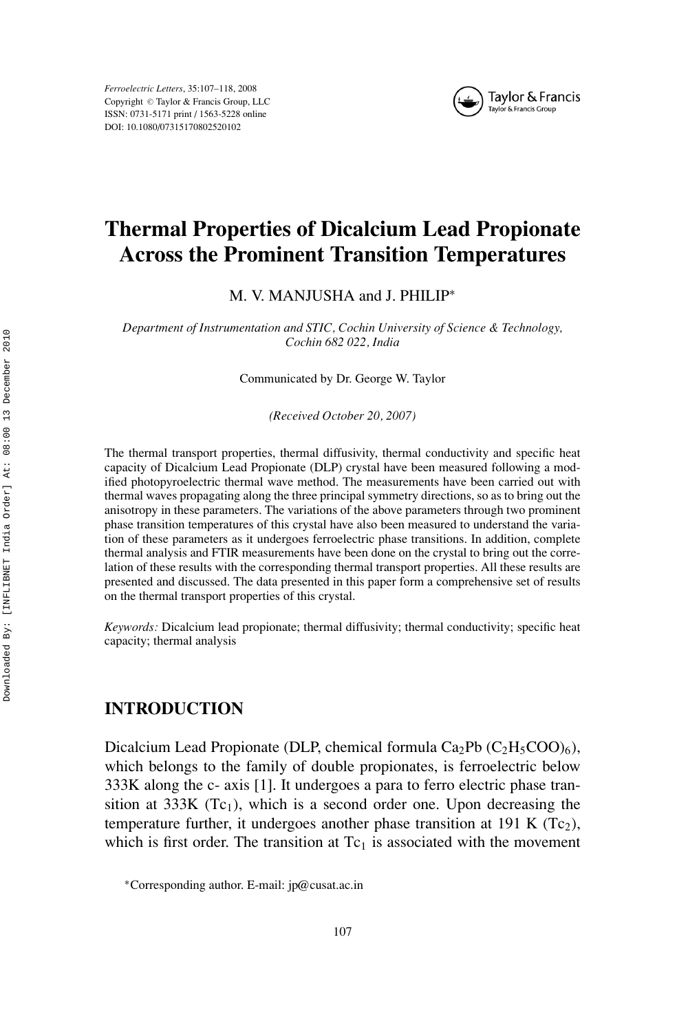*Ferroelectric Letters*, 35:107–118, 2008 Copyright © Taylor & Francis Group, LLC ISSN: 0731-5171 print / 1563-5228 online DOI: 10.1080/07315170802520102



# **Thermal Properties of Dicalcium Lead Propionate Across the Prominent Transition Temperatures**

M. V. MANJUSHA and J. PHILIP<sup>\*</sup>

*Department of Instrumentation and STIC, Cochin University of Science & Technology, Cochin 682 022, India*

Communicated by Dr. George W. Taylor

*(Received October 20, 2007)*

The thermal transport properties, thermal diffusivity, thermal conductivity and specific heat capacity of Dicalcium Lead Propionate (DLP) crystal have been measured following a modified photopyroelectric thermal wave method. The measurements have been carried out with thermal waves propagating along the three principal symmetry directions, so as to bring out the anisotropy in these parameters. The variations of the above parameters through two prominent phase transition temperatures of this crystal have also been measured to understand the variation of these parameters as it undergoes ferroelectric phase transitions. In addition, complete thermal analysis and FTIR measurements have been done on the crystal to bring out the correlation of these results with the corresponding thermal transport properties. All these results are presented and discussed. The data presented in this paper form a comprehensive set of results on the thermal transport properties of this crystal.

*Keywords:* Dicalcium lead propionate; thermal diffusivity; thermal conductivity; specific heat capacity; thermal analysis

# **INTRODUCTION**

Dicalcium Lead Propionate (DLP, chemical formula  $Ca_2Pb$  ( $C_2H_5COO_6$ ), which belongs to the family of double propionates, is ferroelectric below 333K along the c- axis [1]. It undergoes a para to ferro electric phase transition at 333K (Tc<sub>1</sub>), which is a second order one. Upon decreasing the temperature further, it undergoes another phase transition at 191 K  $(Tc_2)$ , which is first order. The transition at  $Tc<sub>1</sub>$  is associated with the movement

<sup>∗</sup>Corresponding author. E-mail: jp@cusat.ac.in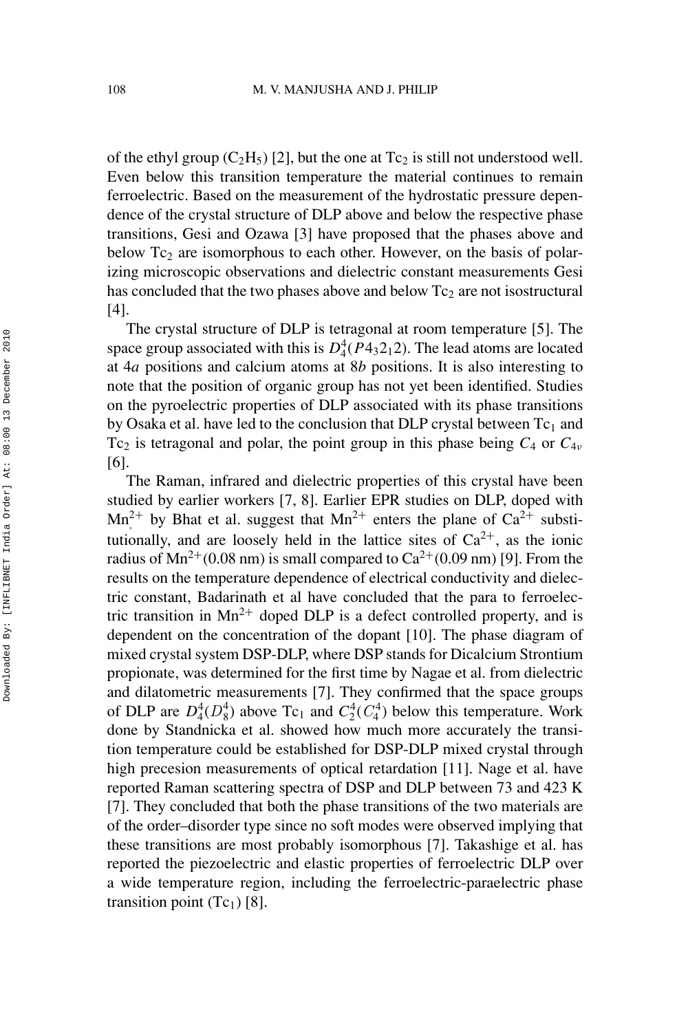of the ethyl group  $(C_2H_5)$  [2], but the one at  $Tc_2$  is still not understood well. Even below this transition temperature the material continues to remain ferroelectric. Based on the measurement of the hydrostatic pressure dependence of the crystal structure of DLP above and below the respective phase transitions, Gesi and Ozawa [3] have proposed that the phases above and below  $Tc<sub>2</sub>$  are isomorphous to each other. However, on the basis of polarizing microscopic observations and dielectric constant measurements Gesi has concluded that the two phases above and below  $Tc<sub>2</sub>$  are not isostructural [4].

The crystal structure of DLP is tetragonal at room temperature [5]. The space group associated with this is  $D_4^4(P4_32_12)$ . The lead atoms are located at 4*a* positions and calcium atoms at 8*b* positions. It is also interesting to note that the position of organic group has not yet been identified. Studies on the pyroelectric properties of DLP associated with its phase transitions by Osaka et al. have led to the conclusion that DLP crystal between  $Tc_1$  and Tc<sub>2</sub> is tetragonal and polar, the point group in this phase being  $C_4$  or  $C_{4\nu}$ [6].

The Raman, infrared and dielectric properties of this crystal have been studied by earlier workers [7, 8]. Earlier EPR studies on DLP, doped with  $Mn^{2+}$  by Bhat et al. suggest that  $Mn^{2+}$  enters the plane of  $Ca^{2+}$  substitutionally, and are loosely held in the lattice sites of  $Ca^{2+}$ , as the ionic radius of  $Mn^{2+}(0.08 \text{ nm})$  is small compared to  $Ca^{2+}(0.09 \text{ nm})$  [9]. From the results on the temperature dependence of electrical conductivity and dielectric constant, Badarinath et al have concluded that the para to ferroelectric transition in  $Mn^{2+}$  doped DLP is a defect controlled property, and is dependent on the concentration of the dopant [10]. The phase diagram of mixed crystal system DSP-DLP, where DSP stands for Dicalcium Strontium propionate, was determined for the first time by Nagae et al. from dielectric and dilatometric measurements [7]. They confirmed that the space groups of DLP are  $D_4^4(D_8^4)$  above Tc<sub>1</sub> and  $C_2^4(C_4^4)$  below this temperature. Work done by Standnicka et al. showed how much more accurately the transition temperature could be established for DSP-DLP mixed crystal through high precesion measurements of optical retardation [11]. Nage et al. have reported Raman scattering spectra of DSP and DLP between 73 and 423 K [7]. They concluded that both the phase transitions of the two materials are of the order–disorder type since no soft modes were observed implying that these transitions are most probably isomorphous [7]. Takashige et al. has reported the piezoelectric and elastic properties of ferroelectric DLP over a wide temperature region, including the ferroelectric-paraelectric phase transition point  $(Tc_1)$  [8].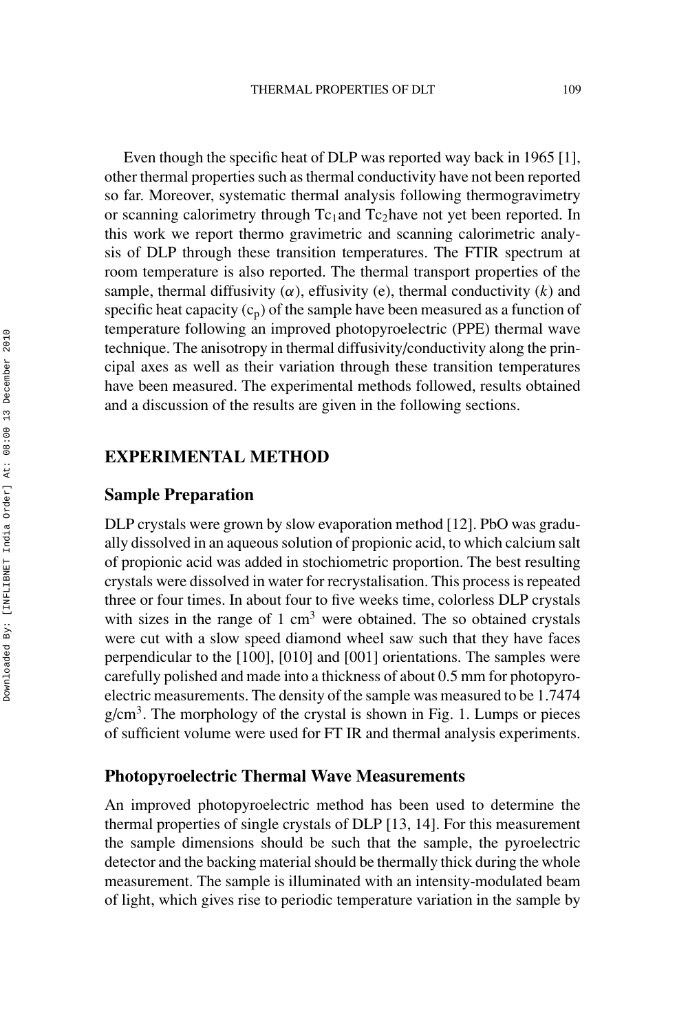Even though the specific heat of DLP was reported way back in 1965 [1], other thermal properties such as thermal conductivity have not been reported so far. Moreover, systematic thermal analysis following thermogravimetry or scanning calorimetry through  $Tc_1$  and  $Tc_2$  have not yet been reported. In this work we report thermo gravimetric and scanning calorimetric analysis of DLP through these transition temperatures. The FTIR spectrum at room temperature is also reported. The thermal transport properties of the sample, thermal diffusivity  $(\alpha)$ , effusivity (e), thermal conductivity  $(k)$  and specific heat capacity  $(c_p)$  of the sample have been measured as a function of temperature following an improved photopyroelectric (PPE) thermal wave technique. The anisotropy in thermal diffusivity/conductivity along the principal axes as well as their variation through these transition temperatures have been measured. The experimental methods followed, results obtained and a discussion of the results are given in the following sections.

# **EXPERIMENTAL METHOD**

# **Sample Preparation**

DLP crystals were grown by slow evaporation method [12]. PbO was gradually dissolved in an aqueous solution of propionic acid, to which calcium salt of propionic acid was added in stochiometric proportion. The best resulting crystals were dissolved in water for recrystalisation. This process is repeated three or four times. In about four to five weeks time, colorless DLP crystals with sizes in the range of  $1 \text{ cm}^3$  were obtained. The so obtained crystals were cut with a slow speed diamond wheel saw such that they have faces perpendicular to the [100], [010] and [001] orientations. The samples were carefully polished and made into a thickness of about 0.5 mm for photopyroelectric measurements. The density of the sample was measured to be 1.7474  $g/cm<sup>3</sup>$ . The morphology of the crystal is shown in Fig. 1. Lumps or pieces of sufficient volume were used for FT IR and thermal analysis experiments.

#### **Photopyroelectric Thermal Wave Measurements**

An improved photopyroelectric method has been used to determine the thermal properties of single crystals of DLP [13, 14]. For this measurement the sample dimensions should be such that the sample, the pyroelectric detector and the backing material should be thermally thick during the whole measurement. The sample is illuminated with an intensity-modulated beam of light, which gives rise to periodic temperature variation in the sample by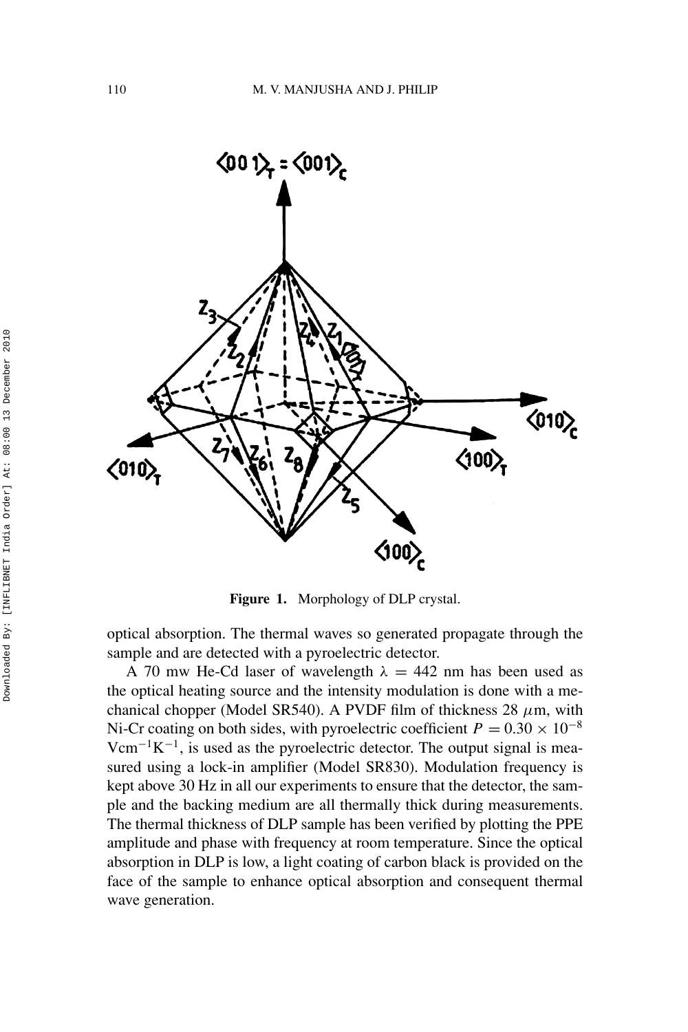

**Figure 1.** Morphology of DLP crystal.

optical absorption. The thermal waves so generated propagate through the sample and are detected with a pyroelectric detector.

A 70 mw He-Cd laser of wavelength  $\lambda = 442$  nm has been used as the optical heating source and the intensity modulation is done with a mechanical chopper (Model SR540). A PVDF film of thickness 28 *µ*m, with Ni-Cr coating on both sides, with pyroelectric coefficient  $P = 0.30 \times 10^{-8}$  $Vcm^{-1}K^{-1}$ , is used as the pyroelectric detector. The output signal is measured using a lock-in amplifier (Model SR830). Modulation frequency is kept above 30 Hz in all our experiments to ensure that the detector, the sample and the backing medium are all thermally thick during measurements. The thermal thickness of DLP sample has been verified by plotting the PPE amplitude and phase with frequency at room temperature. Since the optical absorption in DLP is low, a light coating of carbon black is provided on the face of the sample to enhance optical absorption and consequent thermal wave generation.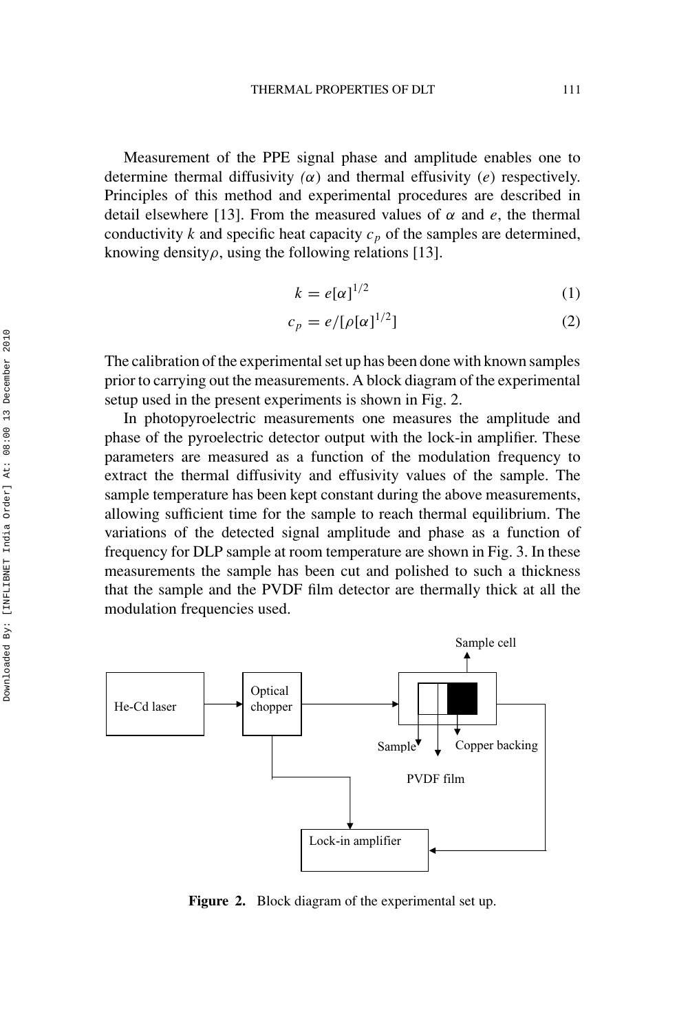Measurement of the PPE signal phase and amplitude enables one to determine thermal diffusivity  $(\alpha)$  and thermal effusivity  $(e)$  respectively. Principles of this method and experimental procedures are described in detail elsewhere [13]. From the measured values of  $\alpha$  and  $e$ , the thermal conductivity  $k$  and specific heat capacity  $c_p$  of the samples are determined, knowing density<sub>*ρ*</sub>, using the following relations [13].

$$
k = e[\alpha]^{1/2} \tag{1}
$$

$$
c_p = e/[\rho[\alpha]^{1/2}] \tag{2}
$$

The calibration of the experimental set up has been done with known samples prior to carrying out the measurements. A block diagram of the experimental setup used in the present experiments is shown in Fig. 2.

In photopyroelectric measurements one measures the amplitude and phase of the pyroelectric detector output with the lock-in amplifier. These parameters are measured as a function of the modulation frequency to extract the thermal diffusivity and effusivity values of the sample. The sample temperature has been kept constant during the above measurements, allowing sufficient time for the sample to reach thermal equilibrium. The variations of the detected signal amplitude and phase as a function of frequency for DLP sample at room temperature are shown in Fig. 3. In these measurements the sample has been cut and polished to such a thickness that the sample and the PVDF film detector are thermally thick at all the modulation frequencies used.



**Figure 2.** Block diagram of the experimental set up.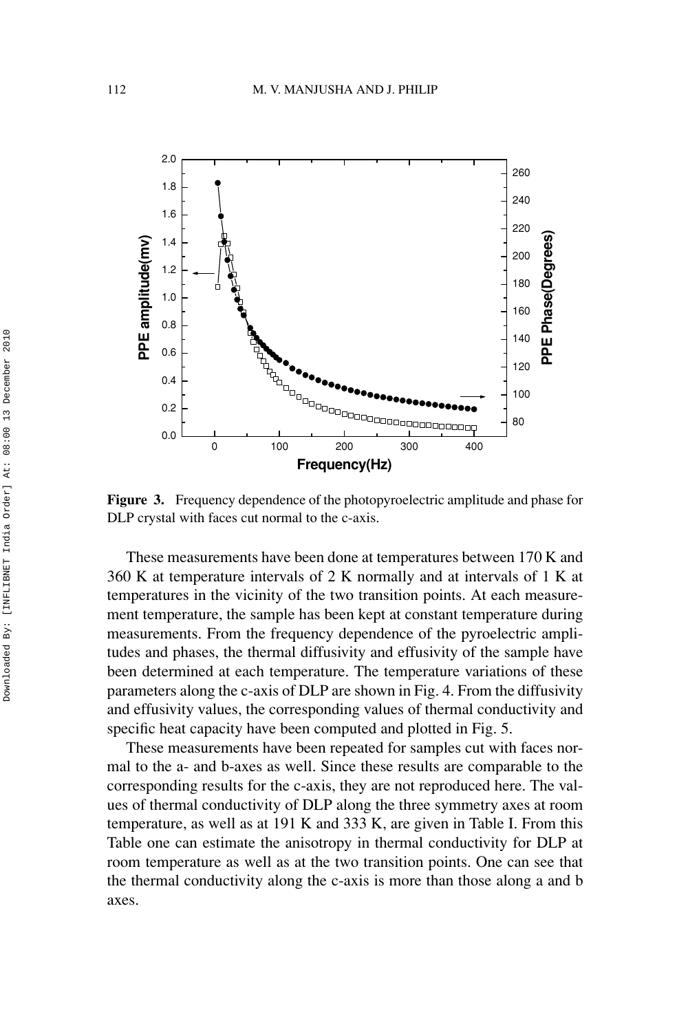

**Figure 3.** Frequency dependence of the photopyroelectric amplitude and phase for DLP crystal with faces cut normal to the c-axis.

These measurements have been done at temperatures between 170 K and 360 K at temperature intervals of 2 K normally and at intervals of 1 K at temperatures in the vicinity of the two transition points. At each measurement temperature, the sample has been kept at constant temperature during measurements. From the frequency dependence of the pyroelectric amplitudes and phases, the thermal diffusivity and effusivity of the sample have been determined at each temperature. The temperature variations of these parameters along the c-axis of DLP are shown in Fig. 4. From the diffusivity and effusivity values, the corresponding values of thermal conductivity and specific heat capacity have been computed and plotted in Fig. 5.

These measurements have been repeated for samples cut with faces normal to the a- and b-axes as well. Since these results are comparable to the corresponding results for the c-axis, they are not reproduced here. The values of thermal conductivity of DLP along the three symmetry axes at room temperature, as well as at 191 K and 333 K, are given in Table I. From this Table one can estimate the anisotropy in thermal conductivity for DLP at room temperature as well as at the two transition points. One can see that the thermal conductivity along the c-axis is more than those along a and b axes.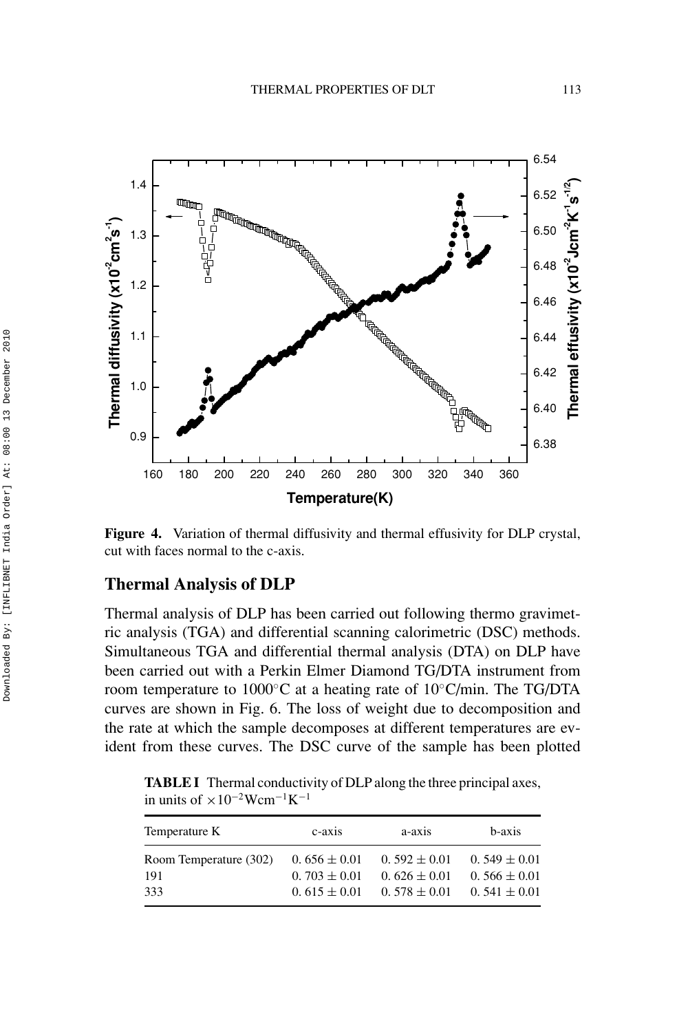

**Figure 4.** Variation of thermal diffusivity and thermal effusivity for DLP crystal, cut with faces normal to the c-axis.

#### **Thermal Analysis of DLP**

Thermal analysis of DLP has been carried out following thermo gravimetric analysis (TGA) and differential scanning calorimetric (DSC) methods. Simultaneous TGA and differential thermal analysis (DTA) on DLP have been carried out with a Perkin Elmer Diamond TG/DTA instrument from room temperature to 1000◦C at a heating rate of 10◦C/min. The TG/DTA curves are shown in Fig. 6. The loss of weight due to decomposition and the rate at which the sample decomposes at different temperatures are evident from these curves. The DSC curve of the sample has been plotted

**TABLE I** Thermal conductivity of DLP along the three principal axes, in units of  $\times 10^{-2}$ Wcm<sup>-1</sup>K<sup>-1</sup>

| a-axis<br>c-axis                     | b-axis                                                                       |
|--------------------------------------|------------------------------------------------------------------------------|
| $0.592 \pm 0.01$<br>$0.626 \pm 0.01$ | $0.549 \pm 0.01$<br>$0.566 \pm 0.01$<br>$0.541 \pm 0.01$                     |
|                                      | $0.656 \pm 0.01$<br>$0.703 \pm 0.01$<br>$0.615 \pm 0.01$<br>$0.578 \pm 0.01$ |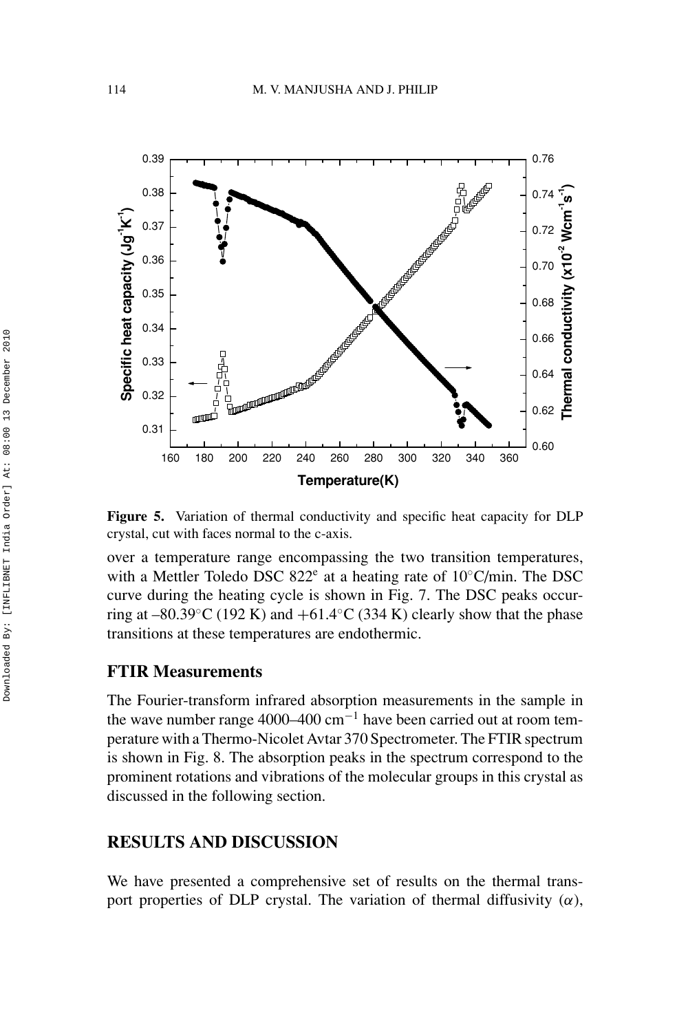

**Figure 5.** Variation of thermal conductivity and specific heat capacity for DLP crystal, cut with faces normal to the c-axis.

over a temperature range encompassing the two transition temperatures, with a Mettler Toledo DSC 822 $^e$  at a heating rate of 10 $^{\circ}$ C/min. The DSC curve during the heating cycle is shown in Fig. 7. The DSC peaks occurring at –80.39 $°C$  (192 K) and +61.4 $°C$  (334 K) clearly show that the phase transitions at these temperatures are endothermic.

#### **FTIR Measurements**

The Fourier-transform infrared absorption measurements in the sample in the wave number range 4000–400 cm<sup>-1</sup> have been carried out at room temperature with a Thermo-Nicolet Avtar 370 Spectrometer. The FTIR spectrum is shown in Fig. 8. The absorption peaks in the spectrum correspond to the prominent rotations and vibrations of the molecular groups in this crystal as discussed in the following section.

# **RESULTS AND DISCUSSION**

We have presented a comprehensive set of results on the thermal transport properties of DLP crystal. The variation of thermal diffusivity  $(\alpha)$ ,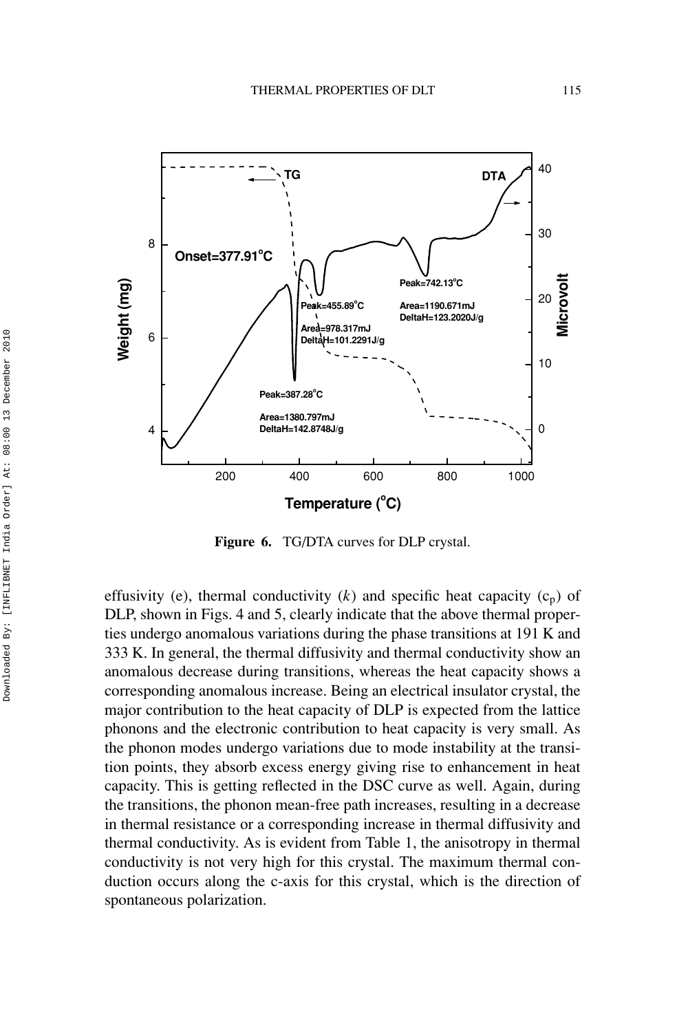

**Figure 6.** TG/DTA curves for DLP crystal.

effusivity (e), thermal conductivity  $(k)$  and specific heat capacity  $(c_n)$  of DLP, shown in Figs. 4 and 5, clearly indicate that the above thermal properties undergo anomalous variations during the phase transitions at 191 K and 333 K. In general, the thermal diffusivity and thermal conductivity show an anomalous decrease during transitions, whereas the heat capacity shows a corresponding anomalous increase. Being an electrical insulator crystal, the major contribution to the heat capacity of DLP is expected from the lattice phonons and the electronic contribution to heat capacity is very small. As the phonon modes undergo variations due to mode instability at the transition points, they absorb excess energy giving rise to enhancement in heat capacity. This is getting reflected in the DSC curve as well. Again, during the transitions, the phonon mean-free path increases, resulting in a decrease in thermal resistance or a corresponding increase in thermal diffusivity and thermal conductivity. As is evident from Table 1, the anisotropy in thermal conductivity is not very high for this crystal. The maximum thermal conduction occurs along the c-axis for this crystal, which is the direction of spontaneous polarization.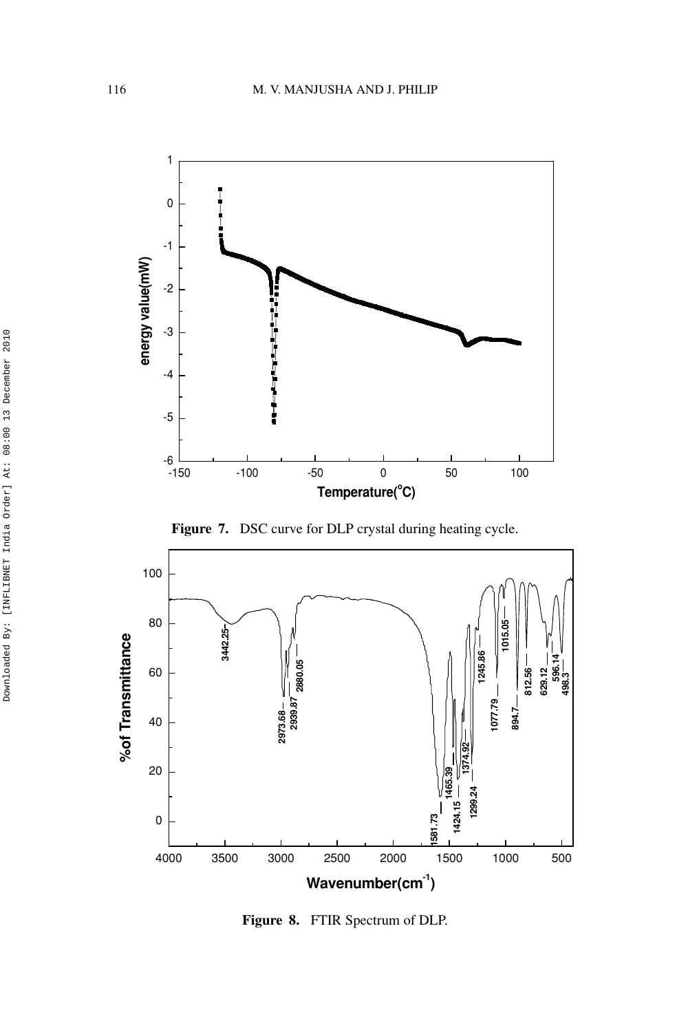

**Figure 7.** DSC curve for DLP crystal during heating cycle.



**Figure 8.** FTIR Spectrum of DLP.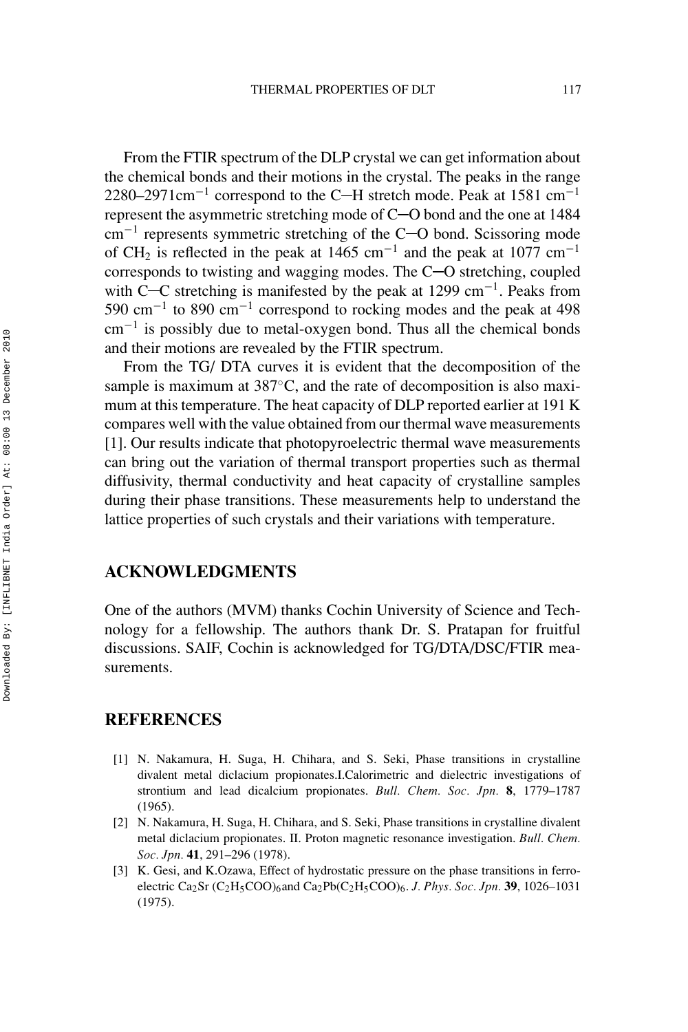From the FTIR spectrum of the DLP crystal we can get information about the chemical bonds and their motions in the crystal. The peaks in the range 2280–2971cm<sup>-1</sup> correspond to the C-H stretch mode. Peak at 1581 cm<sup>-1</sup> represent the asymmetric stretching mode of  $C$  -O bond and the one at 1484  $cm^{-1}$  represents symmetric stretching of the C-O bond. Scissoring mode of CH<sub>2</sub> is reflected in the peak at 1465 cm<sup>-1</sup> and the peak at 1077 cm<sup>-1</sup> corresponds to twisting and wagging modes. The  $C$ -O stretching, coupled with C- $\rm C$  stretching is manifested by the peak at 1299 cm<sup>-1</sup>. Peaks from 590 cm−<sup>1</sup> to 890 cm−<sup>1</sup> correspond to rocking modes and the peak at 498 cm−<sup>1</sup> is possibly due to metal-oxygen bond. Thus all the chemical bonds and their motions are revealed by the FTIR spectrum.

From the TG/ DTA curves it is evident that the decomposition of the sample is maximum at 387°C, and the rate of decomposition is also maximum at this temperature. The heat capacity of DLP reported earlier at 191 K compares well with the value obtained from our thermal wave measurements [1]. Our results indicate that photopyroelectric thermal wave measurements can bring out the variation of thermal transport properties such as thermal diffusivity, thermal conductivity and heat capacity of crystalline samples during their phase transitions. These measurements help to understand the lattice properties of such crystals and their variations with temperature.

# **ACKNOWLEDGMENTS**

One of the authors (MVM) thanks Cochin University of Science and Technology for a fellowship. The authors thank Dr. S. Pratapan for fruitful discussions. SAIF, Cochin is acknowledged for TG/DTA/DSC/FTIR measurements.

# **REFERENCES**

- [1] N. Nakamura, H. Suga, H. Chihara, and S. Seki, Phase transitions in crystalline divalent metal diclacium propionates.I.Calorimetric and dielectric investigations of strontium and lead dicalcium propionates. *Bull. Chem. Soc. Jpn.* **8**, 1779–1787 (1965).
- [2] N. Nakamura, H. Suga, H. Chihara, and S. Seki, Phase transitions in crystalline divalent metal diclacium propionates. II. Proton magnetic resonance investigation. *Bull. Chem. Soc. Jpn.* **41**, 291–296 (1978).
- [3] K. Gesi, and K.Ozawa, Effect of hydrostatic pressure on the phase transitions in ferroelectric Ca2Sr (C2H5COO)6and Ca2Pb(C2H5COO)6. *J. Phys. Soc. Jpn.* **39**, 1026–1031 (1975).